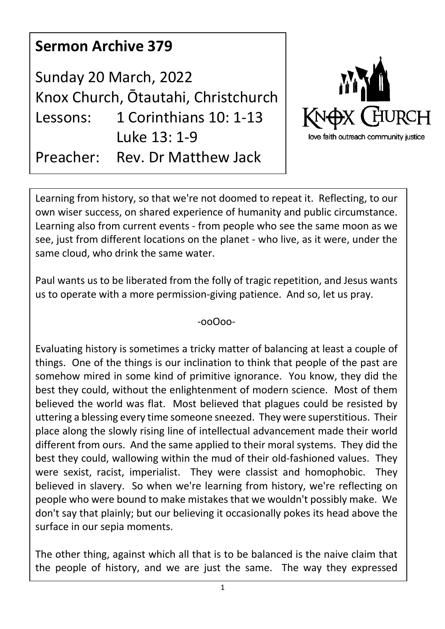| <b>Sermon Archive 379</b>                                    |                                        |                                                      |
|--------------------------------------------------------------|----------------------------------------|------------------------------------------------------|
| Sunday 20 March, 2022<br>Knox Church, Ōtautahi, Christchurch |                                        | <b>MAY OF</b>                                        |
| Lessons:                                                     | 1 Corinthians 10: 1-13<br>Luke 13: 1-9 | KNOX CHURCH<br>love faith outreach community justice |
| Preacher:                                                    | Rev. Dr Matthew Jack                   |                                                      |

Learning from history, so that we're not doomed to repeat it. Reflecting, to our own wiser success, on shared experience of humanity and public circumstance. Learning also from current events - from people who see the same moon as we see, just from different locations on the planet - who live, as it were, under the same cloud, who drink the same water.

Paul wants us to be liberated from the folly of tragic repetition, and Jesus wants us to operate with a more permission-giving patience. And so, let us pray.

-ooOoo-

Evaluating history is sometimes a tricky matter of balancing at least a couple of things. One of the things is our inclination to think that people of the past are somehow mired in some kind of primitive ignorance. You know, they did the best they could, without the enlightenment of modern science. Most of them believed the world was flat. Most believed that plagues could be resisted by uttering a blessing every time someone sneezed. They were superstitious. Their place along the slowly rising line of intellectual advancement made their world different from ours. And the same applied to their moral systems. They did the best they could, wallowing within the mud of their old-fashioned values. They were sexist, racist, imperialist. They were classist and homophobic. They believed in slavery. So when we're learning from history, we're reflecting on people who were bound to make mistakes that we wouldn't possibly make. We don't say that plainly; but our believing it occasionally pokes its head above the surface in our sepia moments.

The other thing, against which all that is to be balanced is the naive claim that the people of history, and we are just the same. The way they expressed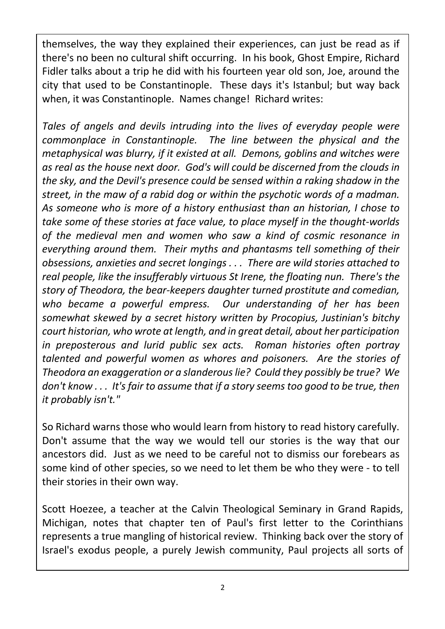themselves, the way they explained their experiences, can just be read as if there's no been no cultural shift occurring. In his book, Ghost Empire, Richard Fidler talks about a trip he did with his fourteen year old son, Joe, around the city that used to be Constantinople. These days it's Istanbul; but way back when, it was Constantinople. Names change! Richard writes:

*Tales of angels and devils intruding into the lives of everyday people were commonplace in Constantinople. The line between the physical and the metaphysical was blurry, if it existed at all. Demons, goblins and witches were as real as the house next door. God's will could be discerned from the clouds in the sky, and the Devil's presence could be sensed within a raking shadow in the street, in the maw of a rabid dog or within the psychotic words of a madman. As someone who is more of a history enthusiast than an historian, I chose to take some of these stories at face value, to place myself in the thought-worlds of the medieval men and women who saw a kind of cosmic resonance in everything around them. Their myths and phantasms tell something of their obsessions, anxieties and secret longings . . . There are wild stories attached to real people, like the insufferably virtuous St Irene, the floating nun. There's the story of Theodora, the bear-keepers daughter turned prostitute and comedian, who became a powerful empress. Our understanding of her has been somewhat skewed by a secret history written by Procopius, Justinian's bitchy court historian, who wrote at length, and in great detail, about her participation in preposterous and lurid public sex acts. Roman histories often portray talented and powerful women as whores and poisoners. Are the stories of Theodora an exaggeration or a slanderous lie? Could they possibly be true? We don't know . . . It's fair to assume that if a story seems too good to be true, then it probably isn't."*

So Richard warns those who would learn from history to read history carefully. Don't assume that the way we would tell our stories is the way that our ancestors did. Just as we need to be careful not to dismiss our forebears as some kind of other species, so we need to let them be who they were - to tell their stories in their own way.

Scott Hoezee, a teacher at the Calvin Theological Seminary in Grand Rapids, Michigan, notes that chapter ten of Paul's first letter to the Corinthians represents a true mangling of historical review. Thinking back over the story of Israel's exodus people, a purely Jewish community, Paul projects all sorts of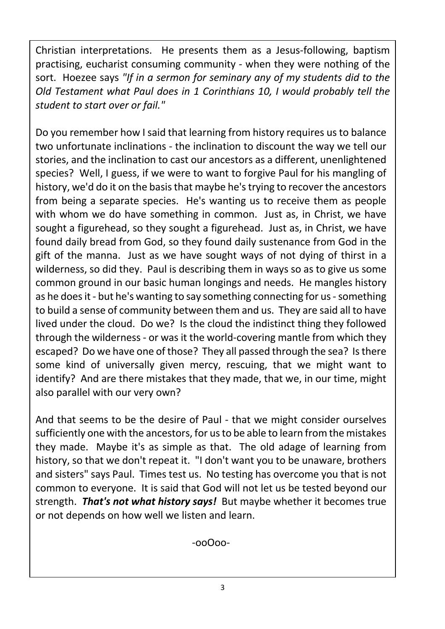Christian interpretations. He presents them as a Jesus-following, baptism practising, eucharist consuming community - when they were nothing of the sort. Hoezee says *"If in a sermon for seminary any of my students did to the Old Testament what Paul does in 1 Corinthians 10, I would probably tell the student to start over or fail."*

Do you remember how I said that learning from history requires us to balance two unfortunate inclinations - the inclination to discount the way we tell our stories, and the inclination to cast our ancestors as a different, unenlightened species? Well, I guess, if we were to want to forgive Paul for his mangling of history, we'd do it on the basis that maybe he's trying to recover the ancestors from being a separate species. He's wanting us to receive them as people with whom we do have something in common. Just as, in Christ, we have sought a figurehead, so they sought a figurehead. Just as, in Christ, we have found daily bread from God, so they found daily sustenance from God in the gift of the manna. Just as we have sought ways of not dying of thirst in a wilderness, so did they. Paul is describing them in ways so as to give us some common ground in our basic human longings and needs. He mangles history as he does it - but he's wanting to say something connecting for us - something to build a sense of community between them and us. They are said all to have lived under the cloud. Do we? Is the cloud the indistinct thing they followed through the wilderness - or was it the world-covering mantle from which they escaped? Do we have one of those? They all passed through the sea? Is there some kind of universally given mercy, rescuing, that we might want to identify? And are there mistakes that they made, that we, in our time, might also parallel with our very own?

And that seems to be the desire of Paul - that we might consider ourselves sufficiently one with the ancestors, for us to be able to learn from the mistakes they made. Maybe it's as simple as that. The old adage of learning from history, so that we don't repeat it. "I don't want you to be unaware, brothers and sisters" says Paul. Times test us. No testing has overcome you that is not common to everyone. It is said that God will not let us be tested beyond our strength. *That's not what history says!* But maybe whether it becomes true or not depends on how well we listen and learn.

-ooOoo-